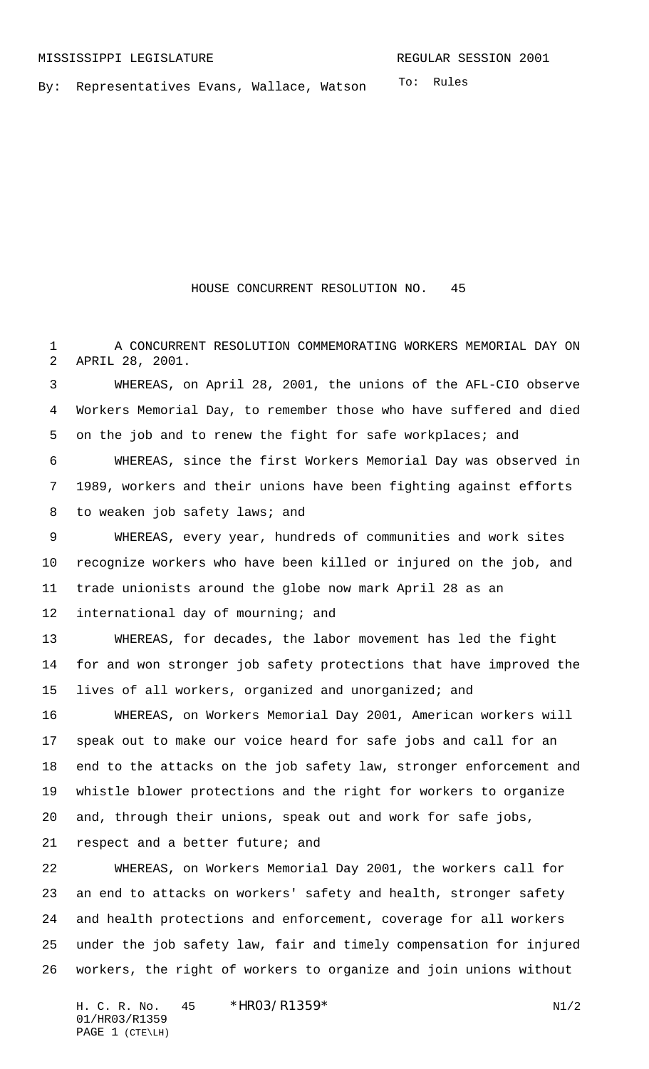To: Rules By: Representatives Evans, Wallace, Watson

## HOUSE CONCURRENT RESOLUTION NO. 45

 A CONCURRENT RESOLUTION COMMEMORATING WORKERS MEMORIAL DAY ON APRIL 28, 2001.

 WHEREAS, on April 28, 2001, the unions of the AFL-CIO observe Workers Memorial Day, to remember those who have suffered and died 5 on the job and to renew the fight for safe workplaces; and

 WHEREAS, since the first Workers Memorial Day was observed in 1989, workers and their unions have been fighting against efforts 8 to weaken job safety laws; and

 WHEREAS, every year, hundreds of communities and work sites recognize workers who have been killed or injured on the job, and trade unionists around the globe now mark April 28 as an 12 international day of mourning; and

 WHEREAS, for decades, the labor movement has led the fight for and won stronger job safety protections that have improved the lives of all workers, organized and unorganized; and

 WHEREAS, on Workers Memorial Day 2001, American workers will speak out to make our voice heard for safe jobs and call for an end to the attacks on the job safety law, stronger enforcement and whistle blower protections and the right for workers to organize and, through their unions, speak out and work for safe jobs,

respect and a better future; and

 WHEREAS, on Workers Memorial Day 2001, the workers call for an end to attacks on workers' safety and health, stronger safety and health protections and enforcement, coverage for all workers under the job safety law, fair and timely compensation for injured workers, the right of workers to organize and join unions without

H. C. R. No.  $45 * HRO3/R1359*$  N1/2 01/HR03/R1359 PAGE 1 (CTE\LH)